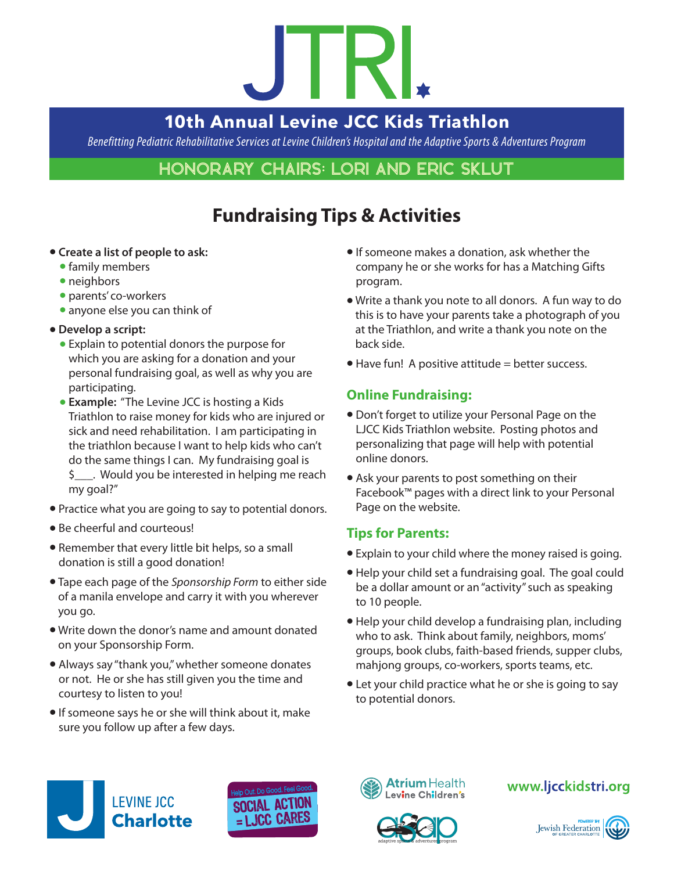# JIRI

# **10th Annual Levine JCC Kids Triathlon**

*Benefitting Pediatric Rehabilitative Services at Levine Children's Hospital and the Adaptive Sports & Adventures Program*

## Honorary Chairs: Lori and Eric Sklut

# **Fundraising Tips & Activities**

#### **• Create a list of people to ask:**

- **•** family members
- neighbors
- parents' co-workers
- anyone else you can think of
- **Develop a script:** 
	- **Explain to potential donors the purpose for** which you are asking for a donation and your personal fundraising goal, as well as why you are participating.
	- **Example:** "The Levine JCC is hosting a Kids Triathlon to raise money for kids who are injured or sick and need rehabilitation. I am participating in the triathlon because I want to help kids who can't do the same things I can. My fundraising goal is \$ would you be interested in helping me reach my goal?"
- Practice what you are going to say to potential donors.
- Be cheerful and courteous!
- Remember that every little bit helps, so a small donation is still a good donation!
- l Tape each page of the *Sponsorship Form* to either side of a manila envelope and carry it with you wherever you go.
- Write down the donor's name and amount donated on your Sponsorship Form.
- Always say "thank you," whether someone donates or not. He or she has still given you the time and courtesy to listen to you!
- **If someone says he or she will think about it, make** sure you follow up after a few days.
- $\bullet$  If someone makes a donation, ask whether the company he or she works for has a Matching Gifts program.
- l Write a thank you note to all donors. A fun way to do this is to have your parents take a photograph of you at the Triathlon, and write a thank you note on the back side.
- $\bullet$  Have fun! A positive attitude = better success.

### **Online Fundraising:**

- Don't forget to utilize your Personal Page on the LJCC Kids Triathlon website. Posting photos and personalizing that page will help with potential online donors.
- Ask your parents to post something on their Facebook™ pages with a direct link to your Personal Page on the website.

#### **Tips for Parents:**

- Explain to your child where the money raised is going.
- Help your child set a fundraising goal. The goal could be a dollar amount or an "activity" such as speaking to 10 people.
- Help your child develop a fundraising plan, including who to ask. Think about family, neighbors, moms' groups, book clubs, faith-based friends, supper clubs, mahjong groups, co-workers, sports teams, etc.
- Let your child practice what he or she is going to say to potential donors.







### www.ljcckidstri.org